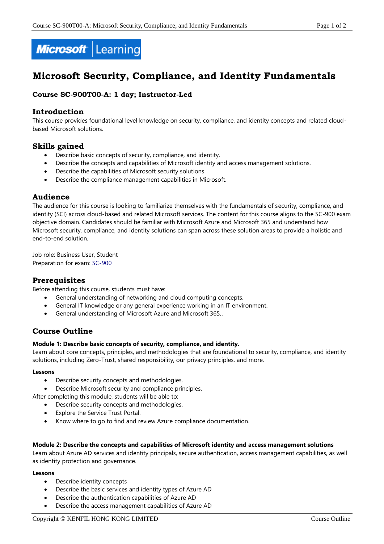

# **Microsoft Security, Compliance, and Identity Fundamentals**

## **Course SC-900T00-A: 1 day; Instructor-Led**

## **Introduction**

This course provides foundational level knowledge on security, compliance, and identity concepts and related cloudbased Microsoft solutions.

## **Skills gained**

- Describe basic concepts of security, compliance, and identity.
- Describe the concepts and capabilities of Microsoft identity and access management solutions.
- Describe the capabilities of Microsoft security solutions.
- Describe the compliance management capabilities in Microsoft.

## **Audience**

The audience for this course is looking to familiarize themselves with the fundamentals of security, compliance, and identity (SCI) across cloud-based and related Microsoft services. The content for this course aligns to the SC-900 exam objective domain. Candidates should be familiar with Microsoft Azure and Microsoft 365 and understand how Microsoft security, compliance, and identity solutions can span across these solution areas to provide a holistic and end-to-end solution.

Job role: Business User, Student Preparation for exam: [SC-900](https://docs.microsoft.com/en-us/learn/certifications/exams/sc-900)

## **Prerequisites**

Before attending this course, students must have:

- General understanding of networking and cloud computing concepts.
- General IT knowledge or any general experience working in an IT environment.
- General understanding of Microsoft Azure and Microsoft 365..

## **Course Outline**

### **Module 1: Describe basic concepts of security, compliance, and identity.**

Learn about core concepts, principles, and methodologies that are foundational to security, compliance, and identity solutions, including Zero-Trust, shared responsibility, our privacy principles, and more.

#### **Lessons**

- Describe security concepts and methodologies.
- Describe Microsoft security and compliance principles.

After completing this module, students will be able to:

- Describe security concepts and methodologies.
- Explore the Service Trust Portal.
- Know where to go to find and review Azure compliance documentation.

#### **Module 2: Describe the concepts and capabilities of Microsoft identity and access management solutions**

Learn about Azure AD services and identity principals, secure authentication, access management capabilities, as well as identity protection and governance.

#### **Lessons**

- Describe identity concepts
- Describe the basic services and identity types of Azure AD
- Describe the authentication capabilities of Azure AD
- Describe the access management capabilities of Azure AD